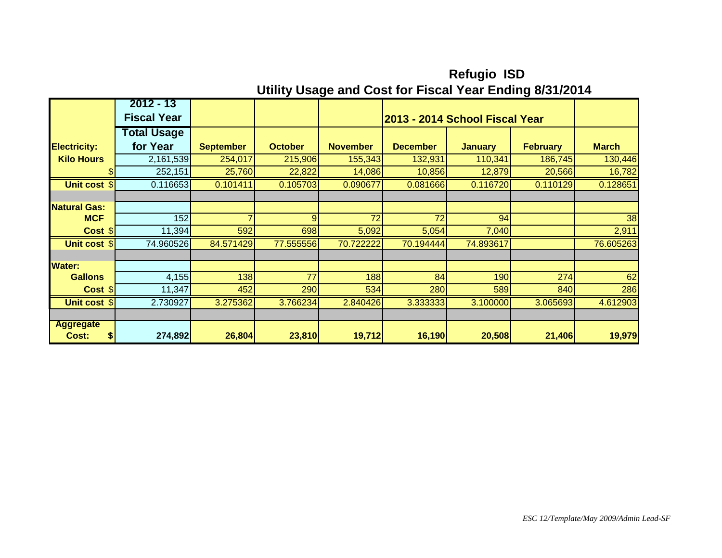|                                 | $2012 - 13$        |                  |                |                 |                                |                |                 |                 |
|---------------------------------|--------------------|------------------|----------------|-----------------|--------------------------------|----------------|-----------------|-----------------|
|                                 | <b>Fiscal Year</b> |                  |                |                 | 2013 - 2014 School Fiscal Year |                |                 |                 |
|                                 | <b>Total Usage</b> |                  |                |                 |                                |                |                 |                 |
| <b>Electricity:</b>             | for Year           | <b>September</b> | <b>October</b> | <b>November</b> | <b>December</b>                | <b>January</b> | <b>February</b> | <b>March</b>    |
| <b>Kilo Hours</b>               | 2,161,539          | 254,017          | 215,906        | 155,343         | 132,931                        | 110,341        | 186,745         | 130,446         |
|                                 | 252,151            | 25,760           | 22,822         | 14,086          | 10,856                         | 12,879         | 20,566          | 16,782          |
| Unit cost \$                    | 0.116653           | 0.101411         | 0.105703       | 0.090677        | 0.081666                       | 0.116720       | 0.110129        | 0.128651        |
|                                 |                    |                  |                |                 |                                |                |                 |                 |
| <b>Natural Gas:</b>             |                    |                  |                |                 |                                |                |                 |                 |
| <b>MCF</b>                      | 152                | $\overline{ }$   | $\overline{9}$ | $\overline{72}$ | $\overline{72}$                | 94             |                 | $\overline{38}$ |
| Cost S                          | 11,394             | 592              | 698            | 5,092           | 5,054                          | 7,040          |                 | 2,911           |
| Unit cost \$                    | 74.960526          | 84.571429        | 77.555556      | 70.722222       | 70.194444                      | 74.893617      |                 | 76.605263       |
|                                 |                    |                  |                |                 |                                |                |                 |                 |
| Water:                          |                    |                  |                |                 |                                |                |                 |                 |
| <b>Gallons</b>                  | 4,155              | 138              | 77             | 188             | 84                             | 190            | 274             | 62              |
| Cost S                          | 11,347             | 452              | 290            | 534             | 280                            | 589            | 840             | 286             |
| Unit cost \$                    | 2.730927           | 3.275362         | 3.766234       | 2.840426        | 3.333333                       | 3.100000       | 3.065693        | 4.612903        |
|                                 |                    |                  |                |                 |                                |                |                 |                 |
| <b>Aggregate</b><br>Cost:<br>\$ | 274,892            | 26,804           | 23,810         | 19,712          | 16,190                         | 20,508         | 21,406          | 19,979          |

**Refugio ISD Utility Usage and Cost for Fiscal Year Ending 8/31/2014**